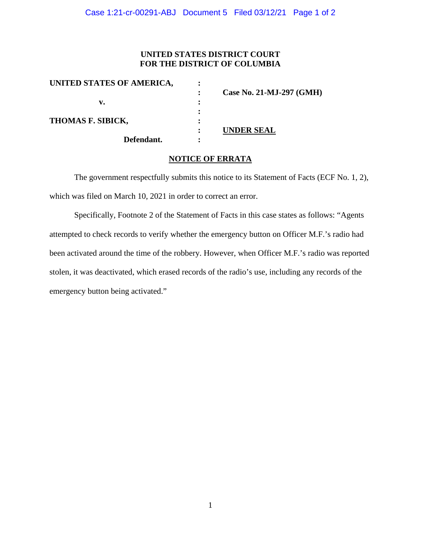## **UNITED STATES DISTRICT COURT FOR THE DISTRICT OF COLUMBIA**

| UNITED STATES OF AMERICA, |                          |
|---------------------------|--------------------------|
|                           | Case No. 21-MJ-297 (GMH) |
| v.                        |                          |
|                           |                          |
| THOMAS F. SIBICK,         |                          |
|                           | UNDER SEAL               |
| Defendant.                |                          |

## **NOTICE OF ERRATA**

The government respectfully submits this notice to its Statement of Facts (ECF No. 1, 2), which was filed on March 10, 2021 in order to correct an error.

Specifically, Footnote 2 of the Statement of Facts in this case states as follows: "Agents attempted to check records to verify whether the emergency button on Officer M.F.'s radio had been activated around the time of the robbery. However, when Officer M.F.'s radio was reported stolen, it was deactivated, which erased records of the radio's use, including any records of the emergency button being activated."